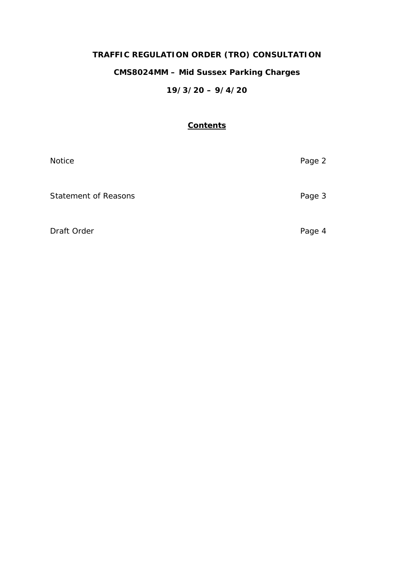# **TRAFFIC REGULATION ORDER (TRO) CONSULTATION**

## **CMS8024MM – Mid Sussex Parking Charges**

## **19/3/20 – 9/4/20**

## **Contents**

| Notice                      | Page 2 |
|-----------------------------|--------|
| <b>Statement of Reasons</b> | Page 3 |
| Draft Order                 | Page 4 |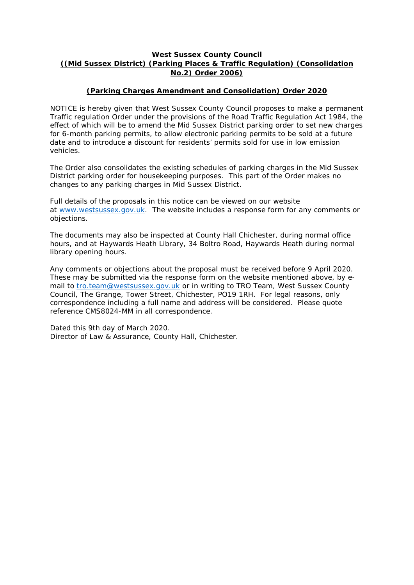#### **West Sussex County Council ((Mid Sussex District) (Parking Places & Traffic Regulation) (Consolidation No.2) Order 2006)**

## **(Parking Charges Amendment and Consolidation) Order 2020**

NOTICE is hereby given that West Sussex County Council proposes to make a permanent Traffic regulation Order under the provisions of the Road Traffic Regulation Act 1984, the effect of which will be to amend the Mid Sussex District parking order to set new charges for 6-month parking permits, to allow electronic parking permits to be sold at a future date and to introduce a discount for residents' permits sold for use in low emission vehicles.

The Order also consolidates the existing schedules of parking charges in the Mid Sussex District parking order for housekeeping purposes. This part of the Order makes no changes to any parking charges in Mid Sussex District.

Full details of the proposals in this notice can be viewed on our website at [www.westsussex.gov.uk.](http://www.westsussex.gov.uk/) The website includes a response form for any comments or objections.

The documents may also be inspected at County Hall Chichester, during normal office hours, and at Haywards Heath Library, 34 Boltro Road, Haywards Heath during normal library opening hours.

Any comments or objections about the proposal must be received before 9 April 2020. These may be submitted via the response form on the website mentioned above, by email to [tro.team@westsussex.gov.uk](mailto:tro.team@westsussex.gov.uk) or in writing to TRO Team, West Sussex County Council, The Grange, Tower Street, Chichester, PO19 1RH. For legal reasons, only correspondence including a full name and address will be considered. Please quote reference CMS8024-MM in all correspondence.

Dated this 9th day of March 2020. Director of Law & Assurance, County Hall, Chichester.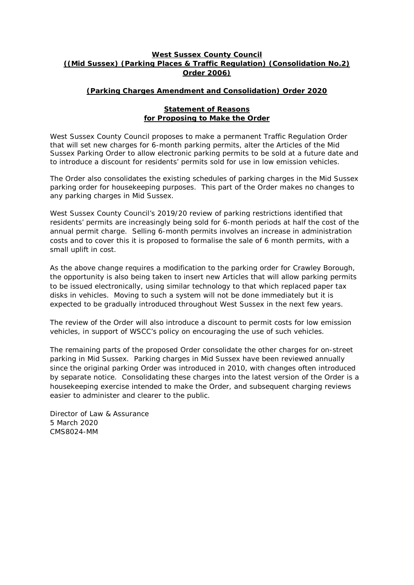#### **West Sussex County Council ((Mid Sussex) (Parking Places & Traffic Regulation) (Consolidation No.2) Order 2006)**

## **(Parking Charges Amendment and Consolidation) Order 2020**

#### **Statement of Reasons for Proposing to Make the Order**

West Sussex County Council proposes to make a permanent Traffic Regulation Order that will set new charges for 6-month parking permits, alter the Articles of the Mid Sussex Parking Order to allow electronic parking permits to be sold at a future date and to introduce a discount for residents' permits sold for use in low emission vehicles.

The Order also consolidates the existing schedules of parking charges in the Mid Sussex parking order for housekeeping purposes. This part of the Order makes no changes to any parking charges in Mid Sussex.

West Sussex County Council's 2019/20 review of parking restrictions identified that residents' permits are increasingly being sold for 6-month periods at half the cost of the annual permit charge. Selling 6-month permits involves an increase in administration costs and to cover this it is proposed to formalise the sale of 6 month permits, with a small uplift in cost.

As the above change requires a modification to the parking order for Crawley Borough, the opportunity is also being taken to insert new Articles that will allow parking permits to be issued electronically, using similar technology to that which replaced paper tax disks in vehicles. Moving to such a system will not be done immediately but it is expected to be gradually introduced throughout West Sussex in the next few years.

The review of the Order will also introduce a discount to permit costs for low emission vehicles, in support of WSCC's policy on encouraging the use of such vehicles.

The remaining parts of the proposed Order consolidate the other charges for on-street parking in Mid Sussex. Parking charges in Mid Sussex have been reviewed annually since the original parking Order was introduced in 2010, with changes often introduced by separate notice. Consolidating these charges into the latest version of the Order is a housekeeping exercise intended to make the Order, and subsequent charging reviews easier to administer and clearer to the public.

Director of Law & Assurance 5 March 2020 CMS8024-MM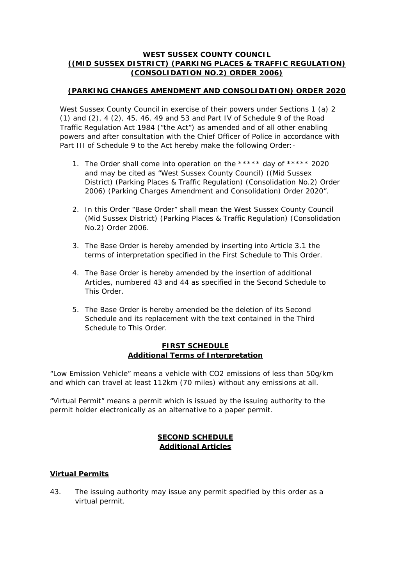#### **WEST SUSSEX COUNTY COUNCIL ((MID SUSSEX DISTRICT) (PARKING PLACES & TRAFFIC REGULATION) (CONSOLIDATION NO.2) ORDER 2006)**

## **(PARKING CHANGES AMENDMENT AND CONSOLIDATION) ORDER 2020**

West Sussex County Council in exercise of their powers under Sections 1 (a) 2 (1) and  $(2)$ , 4  $(2)$ , 45. 46. 49 and 53 and Part IV of Schedule 9 of the Road Traffic Regulation Act 1984 ("the Act") as amended and of all other enabling powers and after consultation with the Chief Officer of Police in accordance with Part III of Schedule 9 to the Act hereby make the following Order: -

- 1. The Order shall come into operation on the \*\*\*\*\* day of \*\*\*\*\* 2020 and may be cited as "West Sussex County Council) ((Mid Sussex District) (Parking Places & Traffic Regulation) (Consolidation No.2) Order 2006) (Parking Charges Amendment and Consolidation) Order 2020".
- 2. In this Order "Base Order" shall mean the West Sussex County Council (Mid Sussex District) (Parking Places & Traffic Regulation) (Consolidation No.2) Order 2006.
- 3. The Base Order is hereby amended by inserting into Article 3.1 the terms of interpretation specified in the First Schedule to This Order.
- 4. The Base Order is hereby amended by the insertion of additional Articles, numbered 43 and 44 as specified in the Second Schedule to This Order.
- 5. The Base Order is hereby amended be the deletion of its Second Schedule and its replacement with the text contained in the Third Schedule to This Order.

#### **FIRST SCHEDULE Additional Terms of Interpretation**

"Low Emission Vehicle" means a vehicle with CO2 emissions of less than 50g/km and which can travel at least 112km (70 miles) without any emissions at all.

"Virtual Permit" means a permit which is issued by the issuing authority to the permit holder electronically as an alternative to a paper permit.

## **SECOND SCHEDULE Additional Articles**

## **Virtual Permits**

43. The issuing authority may issue any permit specified by this order as a virtual permit.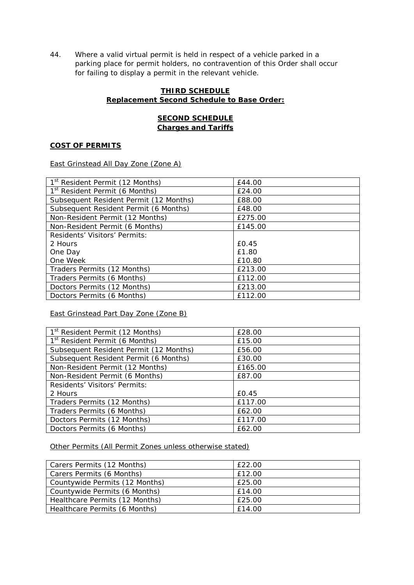44. Where a valid virtual permit is held in respect of a vehicle parked in a parking place for permit holders, no contravention of this Order shall occur for failing to display a permit in the relevant vehicle.

#### **THIRD SCHEDULE Replacement Second Schedule to Base Order:**

## **SECOND SCHEDULE Charges and Tariffs**

#### **COST OF PERMITS**

East Grinstead All Day Zone (Zone A)

| 1 <sup>st</sup> Resident Permit (12 Months) | £44.00  |
|---------------------------------------------|---------|
| 1 <sup>st</sup> Resident Permit (6 Months)  | £24.00  |
| Subsequent Resident Permit (12 Months)      | £88.00  |
| Subsequent Resident Permit (6 Months)       | £48.00  |
| Non-Resident Permit (12 Months)             | £275.00 |
| Non-Resident Permit (6 Months)              | £145.00 |
| Residents' Visitors' Permits:               |         |
| 2 Hours                                     | £0.45   |
| One Day                                     | £1.80   |
| One Week                                    | £10.80  |
| Traders Permits (12 Months)                 | £213.00 |
| Traders Permits (6 Months)                  | £112.00 |
| Doctors Permits (12 Months)                 | £213.00 |
| Doctors Permits (6 Months)                  | £112.00 |

East Grinstead Part Day Zone (Zone B)

| 1 <sup>st</sup> Resident Permit (12 Months) | £28.00  |
|---------------------------------------------|---------|
| 1 <sup>st</sup> Resident Permit (6 Months)  | £15.00  |
| Subsequent Resident Permit (12 Months)      | £56.00  |
| Subsequent Resident Permit (6 Months)       | £30.00  |
| Non-Resident Permit (12 Months)             | £165.00 |
| Non-Resident Permit (6 Months)              | £87.00  |
| Residents' Visitors' Permits:               |         |
| 2 Hours                                     | £0.45   |
| Traders Permits (12 Months)                 | £117.00 |
| Traders Permits (6 Months)                  | £62.00  |
| Doctors Permits (12 Months)                 | £117.00 |
| Doctors Permits (6 Months)                  | £62.00  |

Other Permits (All Permit Zones unless otherwise stated)

| Carers Permits (12 Months)     | £22.00 |
|--------------------------------|--------|
| Carers Permits (6 Months)      | £12.00 |
| Countywide Permits (12 Months) | £25.00 |
| Countywide Permits (6 Months)  | £14.00 |
| Healthcare Permits (12 Months) | £25.00 |
| Healthcare Permits (6 Months)  | £14.00 |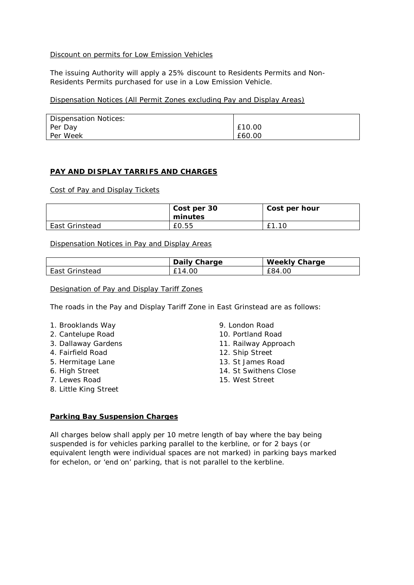#### Discount on permits for Low Emission Vehicles

The issuing Authority will apply a 25% discount to Residents Permits and Non-Residents Permits purchased for use in a Low Emission Vehicle.

Dispensation Notices (All Permit Zones excluding Pay and Display Areas)

| <b>Dispensation Notices:</b> |        |
|------------------------------|--------|
| Per Day                      | £10.00 |
| Per Week                     | £60.00 |

#### **PAY AND DISPLAY TARRIFS AND CHARGES**

Cost of Pay and Display Tickets

|                | Cost per 30<br>minutes | Cost per hour |
|----------------|------------------------|---------------|
| East Grinstead | £0.55                  | £1.10         |

Dispensation Notices in Pay and Display Areas

|                | Daily Charge | <b>Weekly Charge</b> |
|----------------|--------------|----------------------|
| East Grinstead | £14.00       | £84.00               |

Designation of Pay and Display Tariff Zones

The roads in the Pay and Display Tariff Zone in East Grinstead are as follows:

- 1. Brooklands Way
- 2. Cantelupe Road
- 3. Dallaway Gardens
- 4. Fairfield Road
- 5. Hermitage Lane
- 6. High Street
- 7. Lewes Road
- 8. Little King Street

9. London Road

- 10. Portland Road
- 11. Railway Approach
- 12. Ship Street
- 13. St James Road
- 14. St Swithens Close
- 15. West Street

#### **Parking Bay Suspension Charges**

All charges below shall apply per 10 metre length of bay where the bay being suspended is for vehicles parking parallel to the kerbline, or for 2 bays (or equivalent length were individual spaces are not marked) in parking bays marked for echelon, or 'end on' parking, that is not parallel to the kerbline.